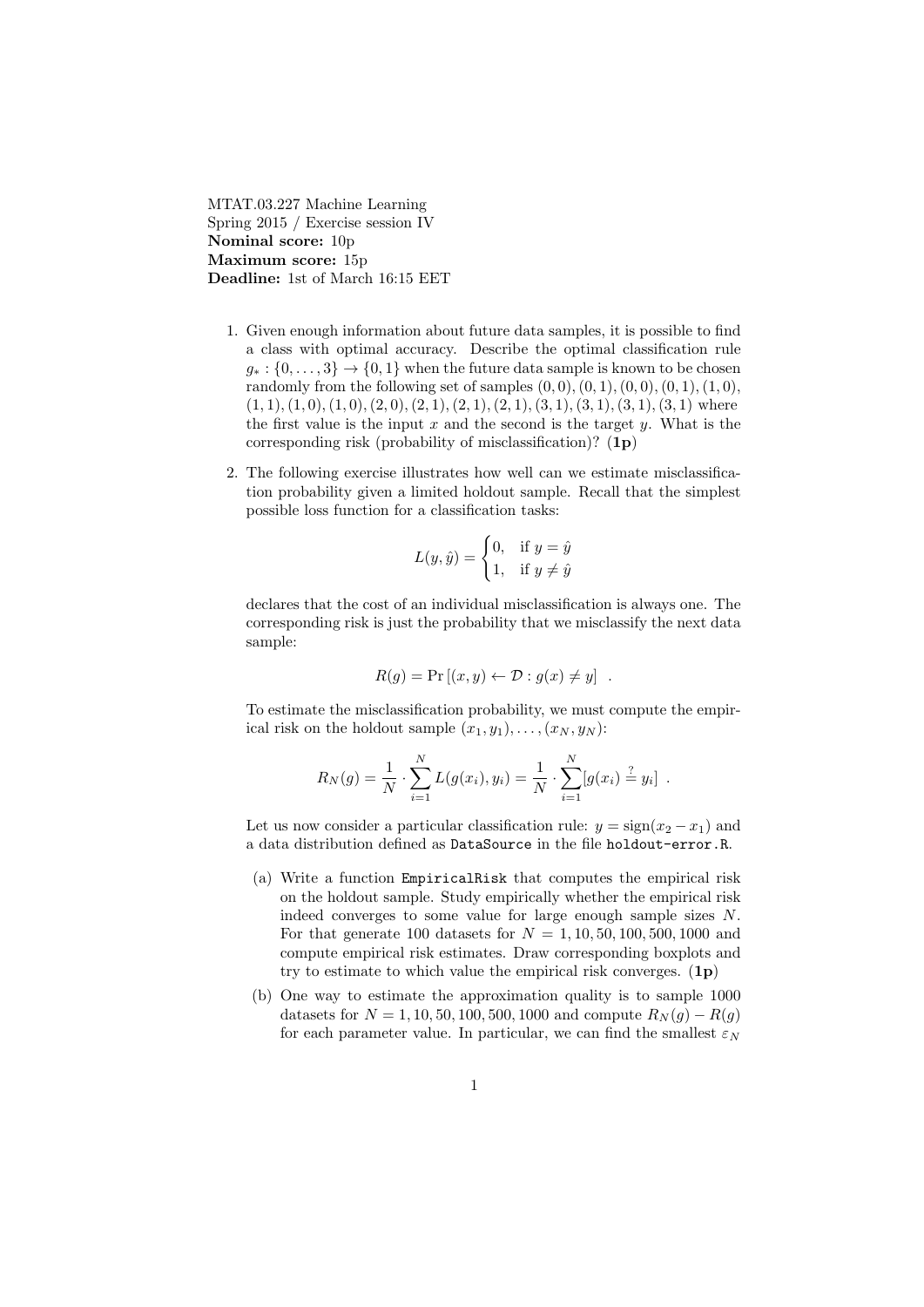MTAT.03.227 Machine Learning Spring 2015 / Exercise session IV Nominal score: 10p Maximum score: 15p Deadline: 1st of March 16:15 EET

- 1. Given enough information about future data samples, it is possible to find a class with optimal accuracy. Describe the optimal classification rule  $g_* : \{0, \ldots, 3\} \to \{0, 1\}$  when the future data sample is known to be chosen randomly from the following set of samples  $(0, 0), (0, 1), (0, 0), (0, 1), (1, 0),$  $(1, 1), (1, 0), (1, 0), (2, 0), (2, 1), (2, 1), (2, 1), (3, 1), (3, 1), (3, 1), (3, 1)$  where the first value is the input  $x$  and the second is the target  $y$ . What is the corresponding risk (probability of misclassification)? (1p)
- 2. The following exercise illustrates how well can we estimate misclassification probability given a limited holdout sample. Recall that the simplest possible loss function for a classification tasks:

$$
L(y, \hat{y}) = \begin{cases} 0, & \text{if } y = \hat{y} \\ 1, & \text{if } y \neq \hat{y} \end{cases}
$$

declares that the cost of an individual misclassification is always one. The corresponding risk is just the probability that we misclassify the next data sample:

$$
R(g) = \Pr\left[ (x, y) \leftarrow \mathcal{D} : g(x) \neq y \right] .
$$

To estimate the misclassification probability, we must compute the empirical risk on the holdout sample  $(x_1, y_1), \ldots, (x_N, y_N)$ :

$$
R_N(g) = \frac{1}{N} \cdot \sum_{i=1}^N L(g(x_i), y_i) = \frac{1}{N} \cdot \sum_{i=1}^N [g(x_i) \stackrel{?}{=} y_i] .
$$

Let us now consider a particular classification rule:  $y = sign(x_2 - x_1)$  and a data distribution defined as DataSource in the file holdout-error.R.

- (a) Write a function EmpiricalRisk that computes the empirical risk on the holdout sample. Study empirically whether the empirical risk indeed converges to some value for large enough sample sizes N. For that generate 100 datasets for  $N = 1, 10, 50, 100, 500, 1000$  and compute empirical risk estimates. Draw corresponding boxplots and try to estimate to which value the empirical risk converges.  $(1p)$
- (b) One way to estimate the approximation quality is to sample 1000 datasets for  $N = 1, 10, 50, 100, 500, 1000$  and compute  $R_N(q) - R(q)$ for each parameter value. In particular, we can find the smallest  $\varepsilon_N$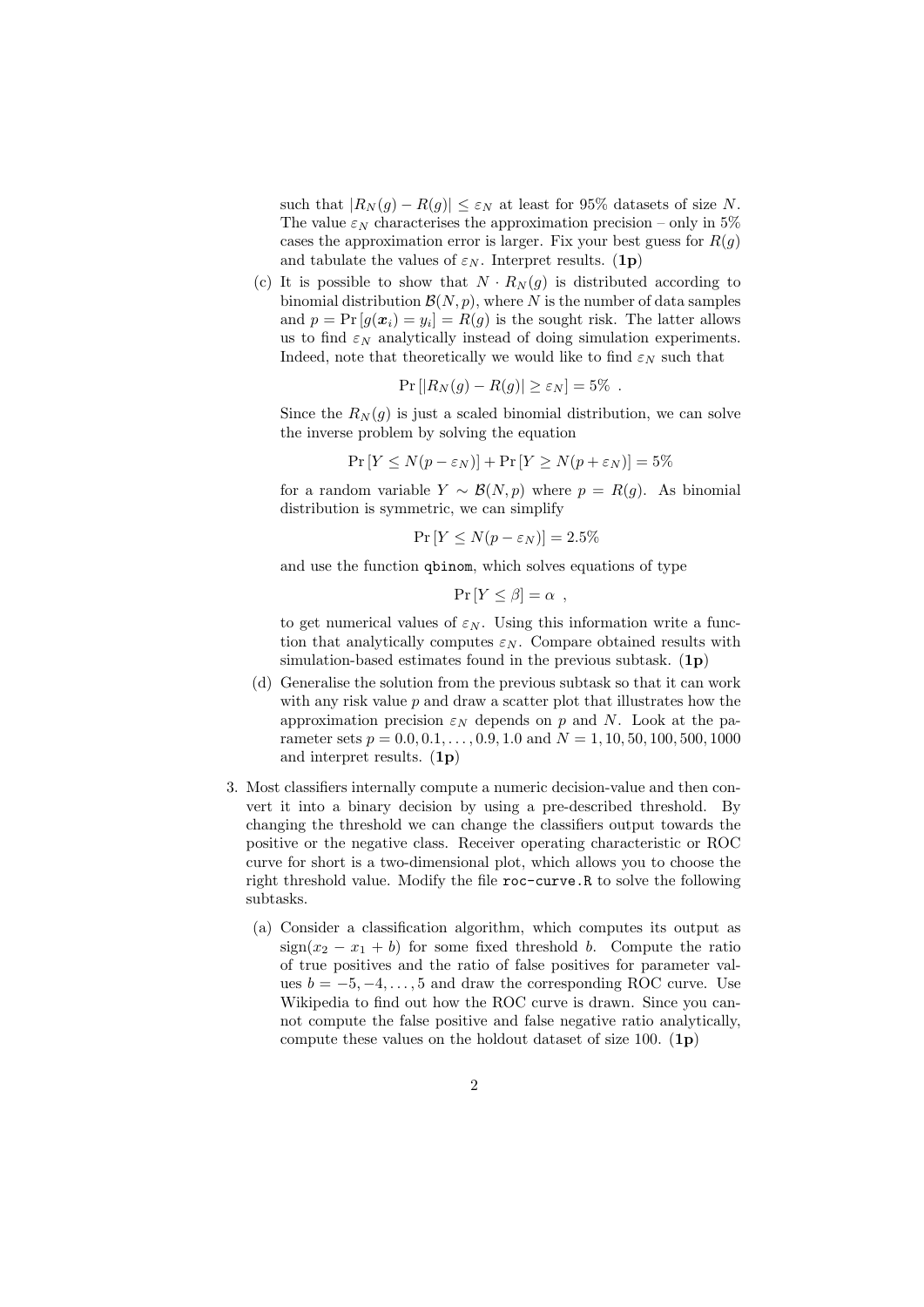such that  $|R_N(g) - R(g)| \leq \varepsilon_N$  at least for 95% datasets of size N. The value  $\varepsilon_N$  characterises the approximation precision – only in 5% cases the approximation error is larger. Fix your best guess for  $R(g)$ and tabulate the values of  $\varepsilon_N$ . Interpret results. (1p)

(c) It is possible to show that  $N \cdot R_N(g)$  is distributed according to binomial distribution  $\mathcal{B}(N, p)$ , where N is the number of data samples and  $p = Pr[g(x_i) = y_i] = R(g)$  is the sought risk. The latter allows us to find  $\varepsilon_N$  analytically instead of doing simulation experiments. Indeed, note that theoretically we would like to find  $\varepsilon_N$  such that

$$
Pr[|R_N(g) - R(g)| \ge \varepsilon_N] = 5\% .
$$

Since the  $R_N(g)$  is just a scaled binomial distribution, we can solve the inverse problem by solving the equation

$$
Pr[Y \le N(p - \varepsilon_N)] + Pr[Y \ge N(p + \varepsilon_N)] = 5\%
$$

for a random variable  $Y \sim \mathcal{B}(N, p)$  where  $p = R(q)$ . As binomial distribution is symmetric, we can simplify

$$
Pr[Y \le N(p - \varepsilon_N)] = 2.5\%
$$

and use the function qbinom, which solves equations of type

$$
\Pr[Y \le \beta] = \alpha \ ,
$$

to get numerical values of  $\varepsilon_N$ . Using this information write a function that analytically computes  $\varepsilon_N$ . Compare obtained results with simulation-based estimates found in the previous subtask.  $(1p)$ 

- (d) Generalise the solution from the previous subtask so that it can work with any risk value  $p$  and draw a scatter plot that illustrates how the approximation precision  $\varepsilon_N$  depends on p and N. Look at the parameter sets  $p = 0.0, 0.1, \ldots, 0.9, 1.0$  and  $N = 1, 10, 50, 100, 500, 1000$ and interpret results.  $(1p)$
- 3. Most classifiers internally compute a numeric decision-value and then convert it into a binary decision by using a pre-described threshold. By changing the threshold we can change the classifiers output towards the positive or the negative class. Receiver operating characteristic or ROC curve for short is a two-dimensional plot, which allows you to choose the right threshold value. Modify the file roc-curve.R to solve the following subtasks.
	- (a) Consider a classification algorithm, which computes its output as  $sign(x_2 - x_1 + b)$  for some fixed threshold b. Compute the ratio of true positives and the ratio of false positives for parameter values  $b = -5, -4, \ldots, 5$  and draw the corresponding ROC curve. Use Wikipedia to find out how the ROC curve is drawn. Since you cannot compute the false positive and false negative ratio analytically, compute these values on the holdout dataset of size 100.  $(1p)$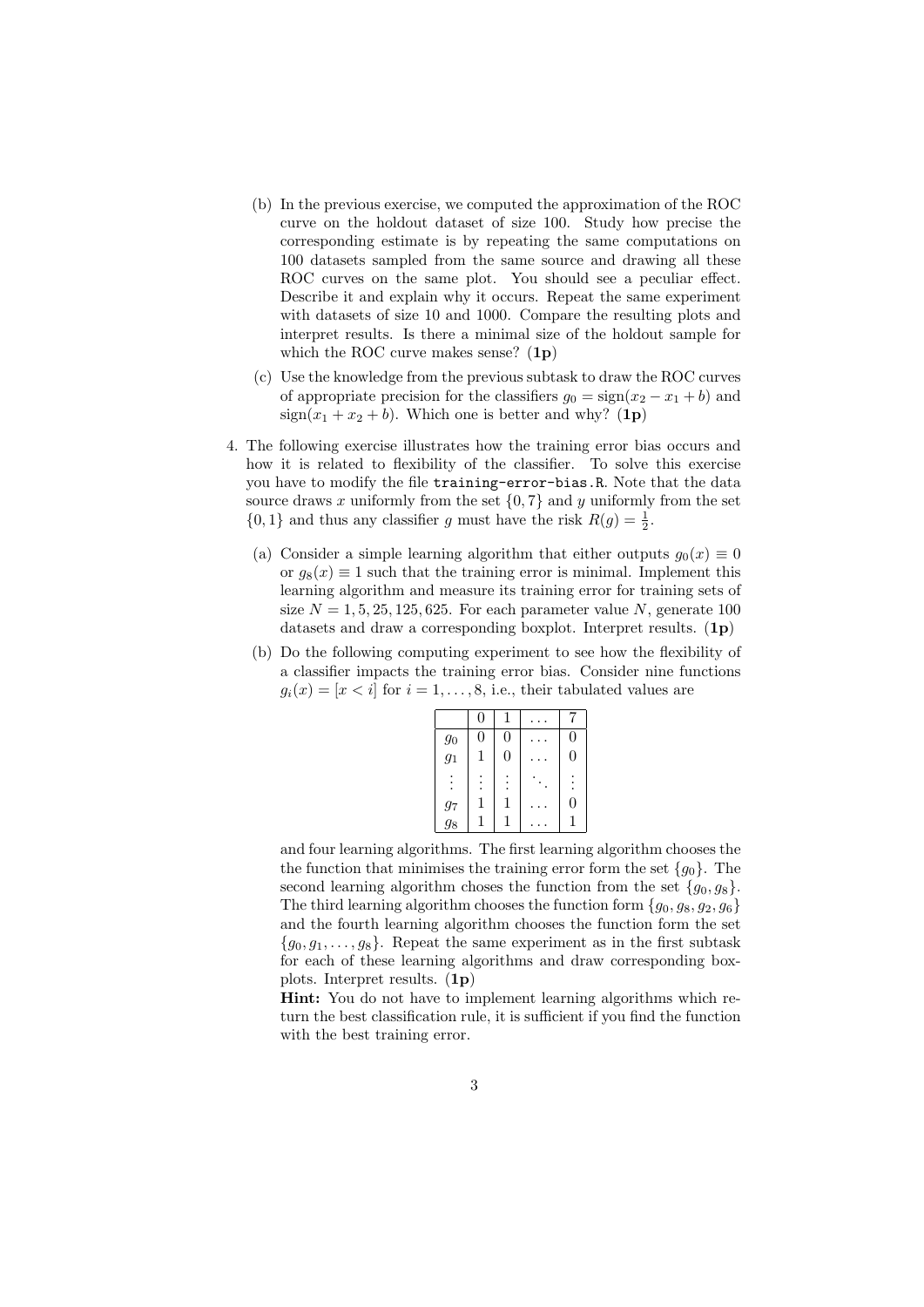- (b) In the previous exercise, we computed the approximation of the ROC curve on the holdout dataset of size 100. Study how precise the corresponding estimate is by repeating the same computations on 100 datasets sampled from the same source and drawing all these ROC curves on the same plot. You should see a peculiar effect. Describe it and explain why it occurs. Repeat the same experiment with datasets of size 10 and 1000. Compare the resulting plots and interpret results. Is there a minimal size of the holdout sample for which the ROC curve makes sense?  $(1p)$
- (c) Use the knowledge from the previous subtask to draw the ROC curves of appropriate precision for the classifiers  $g_0 = \text{sign}(x_2 - x_1 + b)$  and  $sign(x_1 + x_2 + b)$ . Which one is better and why? (1p)
- 4. The following exercise illustrates how the training error bias occurs and how it is related to flexibility of the classifier. To solve this exercise you have to modify the file training-error-bias.R. Note that the data source draws x uniformly from the set  $\{0, 7\}$  and y uniformly from the set  $\{0, 1\}$  and thus any classifier g must have the risk  $R(g) = \frac{1}{2}$ .
	- (a) Consider a simple learning algorithm that either outputs  $g_0(x) \equiv 0$ or  $g_8(x) \equiv 1$  such that the training error is minimal. Implement this learning algorithm and measure its training error for training sets of size  $N = 1, 5, 25, 125, 625$ . For each parameter value N, generate 100 datasets and draw a corresponding boxplot. Interpret results. (1p)
	- (b) Do the following computing experiment to see how the flexibility of a classifier impacts the training error bias. Consider nine functions  $g_i(x) = [x \lt i]$  for  $i = 1, \ldots, 8$ , i.e., their tabulated values are

|                   | 0 |                |                  |
|-------------------|---|----------------|------------------|
| $\mathfrak{g}_0$  | 0 | $\overline{0}$ | $\overline{0}$   |
| $\frac{g_1}{g_1}$ | 1 | 0              | $\boldsymbol{0}$ |
|                   |   |                |                  |
|                   |   | 1              | 0                |
| $\frac{g_7}{g_8}$ |   |                |                  |

and four learning algorithms. The first learning algorithm chooses the the function that minimises the training error form the set  ${g_0}$ . The second learning algorithm choses the function from the set  $\{g_0, g_8\}.$ The third learning algorithm chooses the function form  $\{g_0, g_8, g_2, g_6\}$ and the fourth learning algorithm chooses the function form the set  ${g_0, g_1, \ldots, g_8}$ . Repeat the same experiment as in the first subtask for each of these learning algorithms and draw corresponding boxplots. Interpret results. (1p)

Hint: You do not have to implement learning algorithms which return the best classification rule, it is sufficient if you find the function with the best training error.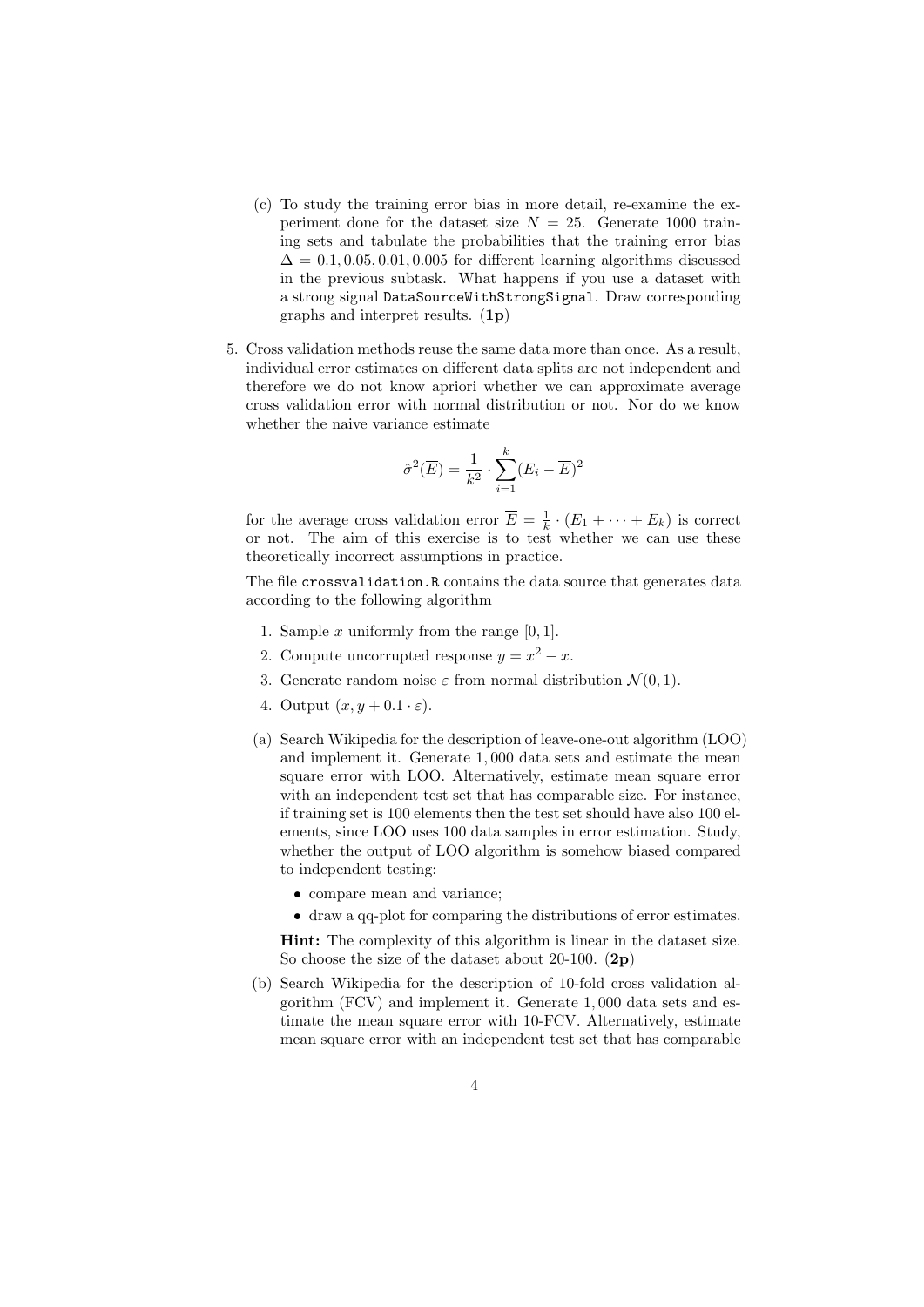- (c) To study the training error bias in more detail, re-examine the experiment done for the dataset size  $N = 25$ . Generate 1000 training sets and tabulate the probabilities that the training error bias  $\Delta = 0.1, 0.05, 0.01, 0.005$  for different learning algorithms discussed in the previous subtask. What happens if you use a dataset with a strong signal DataSourceWithStrongSignal. Draw corresponding graphs and interpret results. (1p)
- 5. Cross validation methods reuse the same data more than once. As a result, individual error estimates on different data splits are not independent and therefore we do not know apriori whether we can approximate average cross validation error with normal distribution or not. Nor do we know whether the naive variance estimate

$$
\hat{\sigma}^2(\overline{E}) = \frac{1}{k^2} \cdot \sum_{i=1}^k (E_i - \overline{E})^2
$$

for the average cross validation error  $\overline{E} = \frac{1}{k} \cdot (E_1 + \cdots + E_k)$  is correct or not. The aim of this exercise is to test whether we can use these theoretically incorrect assumptions in practice.

The file crossvalidation.R contains the data source that generates data according to the following algorithm

- 1. Sample  $x$  uniformly from the range  $[0, 1]$ .
- 2. Compute uncorrupted response  $y = x^2 x$ .
- 3. Generate random noise  $\varepsilon$  from normal distribution  $\mathcal{N}(0, 1)$ .
- 4. Output  $(x, y + 0.1 \cdot \varepsilon)$ .
- (a) Search Wikipedia for the description of leave-one-out algorithm (LOO) and implement it. Generate 1, 000 data sets and estimate the mean square error with LOO. Alternatively, estimate mean square error with an independent test set that has comparable size. For instance, if training set is 100 elements then the test set should have also 100 elements, since LOO uses 100 data samples in error estimation. Study, whether the output of LOO algorithm is somehow biased compared to independent testing:
	- compare mean and variance;
	- draw a qq-plot for comparing the distributions of error estimates.

Hint: The complexity of this algorithm is linear in the dataset size. So choose the size of the dataset about 20-100.  $(2p)$ 

(b) Search Wikipedia for the description of 10-fold cross validation algorithm (FCV) and implement it. Generate 1, 000 data sets and estimate the mean square error with 10-FCV. Alternatively, estimate mean square error with an independent test set that has comparable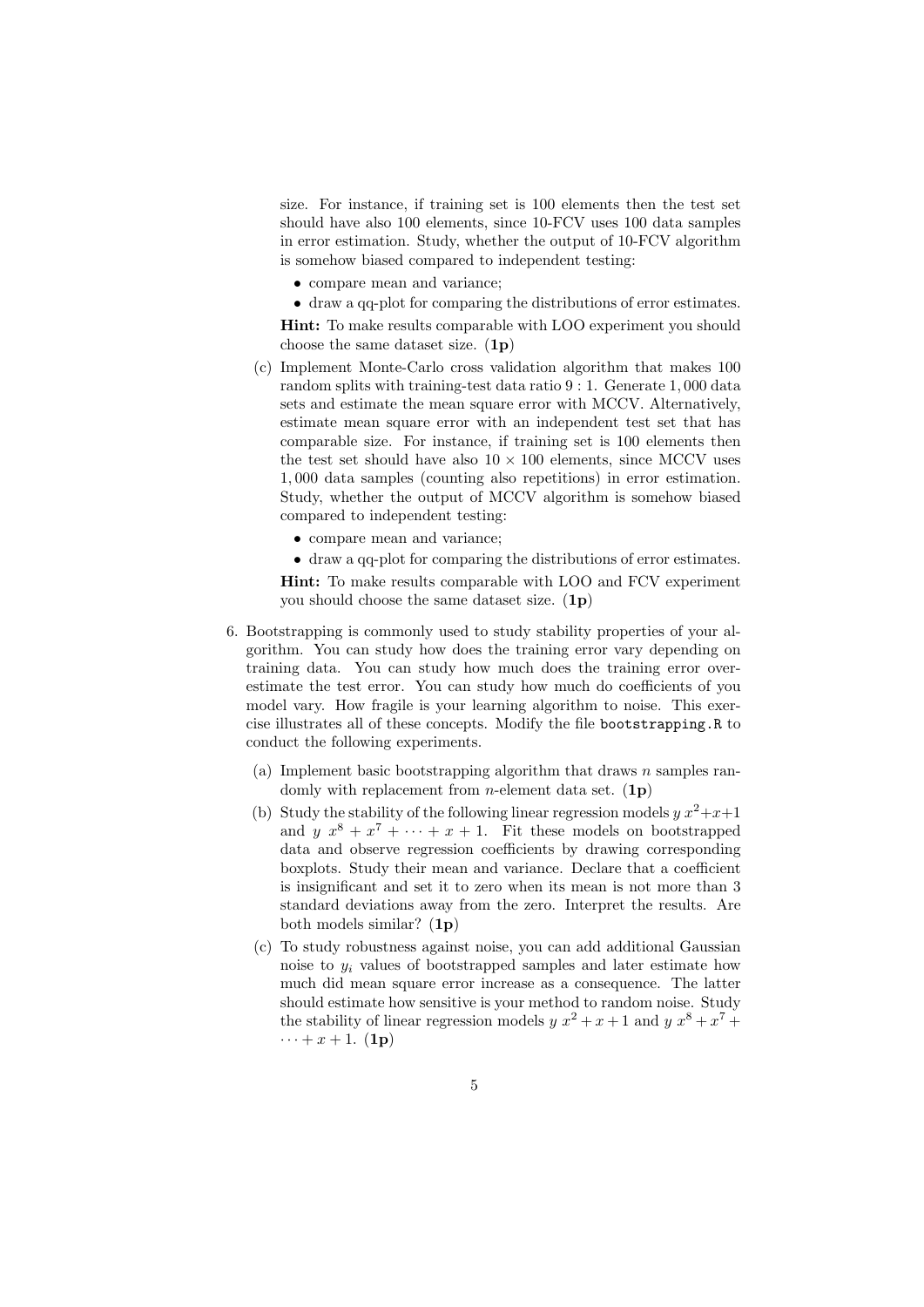size. For instance, if training set is 100 elements then the test set should have also 100 elements, since 10-FCV uses 100 data samples in error estimation. Study, whether the output of 10-FCV algorithm is somehow biased compared to independent testing:

- compare mean and variance;
- draw a qq-plot for comparing the distributions of error estimates. Hint: To make results comparable with LOO experiment you should

choose the same dataset size.  $(1p)$ 

- (c) Implement Monte-Carlo cross validation algorithm that makes 100 random splits with training-test data ratio 9 : 1. Generate 1, 000 data sets and estimate the mean square error with MCCV. Alternatively, estimate mean square error with an independent test set that has comparable size. For instance, if training set is 100 elements then the test set should have also  $10 \times 100$  elements, since MCCV uses 1, 000 data samples (counting also repetitions) in error estimation. Study, whether the output of MCCV algorithm is somehow biased compared to independent testing:
	- compare mean and variance;
	- draw a qq-plot for comparing the distributions of error estimates.

Hint: To make results comparable with LOO and FCV experiment you should choose the same dataset size. (1p)

- 6. Bootstrapping is commonly used to study stability properties of your algorithm. You can study how does the training error vary depending on training data. You can study how much does the training error overestimate the test error. You can study how much do coefficients of you model vary. How fragile is your learning algorithm to noise. This exercise illustrates all of these concepts. Modify the file bootstrapping.R to conduct the following experiments.
	- (a) Implement basic bootstrapping algorithm that draws  $n$  samples randomly with replacement from *n*-element data set.  $(1p)$
	- (b) Study the stability of the following linear regression models  $y x^2+x+1$ and  $y x^8 + x^7 + \cdots + x + 1$ . Fit these models on bootstrapped data and observe regression coefficients by drawing corresponding boxplots. Study their mean and variance. Declare that a coefficient is insignificant and set it to zero when its mean is not more than 3 standard deviations away from the zero. Interpret the results. Are both models similar? (1p)
	- (c) To study robustness against noise, you can add additional Gaussian noise to  $y_i$  values of bootstrapped samples and later estimate how much did mean square error increase as a consequence. The latter should estimate how sensitive is your method to random noise. Study the stability of linear regression models  $y x^2 + x + 1$  and  $y x^8 + x^7 +$  $\cdots + x + 1$ . (1p)